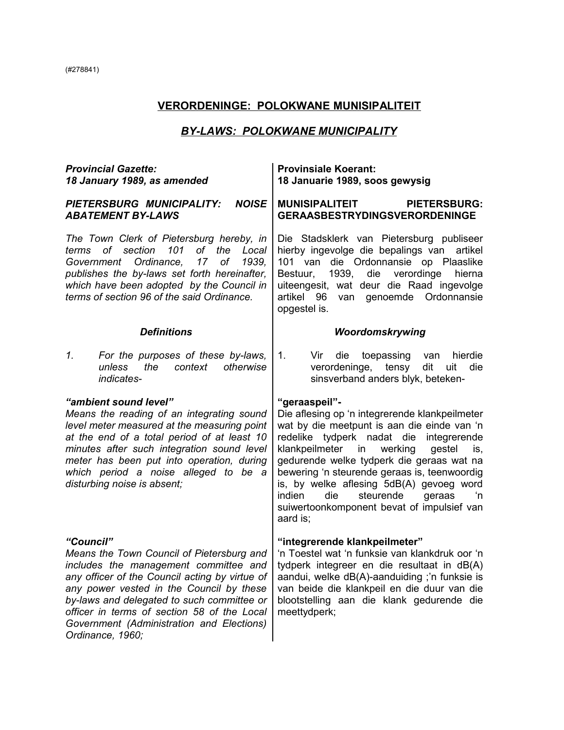# **VERORDENINGE: POLOKWANE MUNISIPALITEIT**

# *BY-LAWS: POLOKWANE MUNICIPALITY*

| <b>Provincial Gazette:</b><br>18 January 1989, as amended                                                                                                                                                                                                                                                                                                                                                                                                                                                                                                                                                                                                                                                                                                                            | <b>Provinsiale Koerant:</b><br>18 Januarie 1989, soos gewysig                                                                                                                                                                                                                                  |  |  |
|--------------------------------------------------------------------------------------------------------------------------------------------------------------------------------------------------------------------------------------------------------------------------------------------------------------------------------------------------------------------------------------------------------------------------------------------------------------------------------------------------------------------------------------------------------------------------------------------------------------------------------------------------------------------------------------------------------------------------------------------------------------------------------------|------------------------------------------------------------------------------------------------------------------------------------------------------------------------------------------------------------------------------------------------------------------------------------------------|--|--|
| <b>NOISE</b><br>PIETERSBURG MUNICIPALITY:<br><b>ABATEMENT BY-LAWS</b>                                                                                                                                                                                                                                                                                                                                                                                                                                                                                                                                                                                                                                                                                                                | <b>MUNISIPALITEIT</b><br><b>PIETERSBURG:</b><br><b>GERAASBESTRYDINGSVERORDENINGE</b>                                                                                                                                                                                                           |  |  |
| The Town Clerk of Pietersburg hereby, in<br>101 of the<br>terms of section<br>Local<br>Government Ordinance,<br>17 <sup>7</sup><br>of<br>1939,<br>publishes the by-laws set forth hereinafter,<br>which have been adopted by the Council in<br>terms of section 96 of the said Ordinance.                                                                                                                                                                                                                                                                                                                                                                                                                                                                                            | Die Stadsklerk van Pietersburg publiseer<br>hierby ingevolge die bepalings van<br>artikel<br>101 van die Ordonnansie op Plaaslike<br>1939,<br>die<br>verordinge<br>Bestuur,<br>hierna<br>uiteengesit, wat deur die Raad ingevolge<br>artikel 96<br>genoemde Ordonnansie<br>van<br>opgestel is. |  |  |
| <b>Definitions</b>                                                                                                                                                                                                                                                                                                                                                                                                                                                                                                                                                                                                                                                                                                                                                                   | Woordomskrywing                                                                                                                                                                                                                                                                                |  |  |
| 1.<br>For the purposes of these by-laws,<br>unless<br>the<br>context<br>otherwise<br>indicates-                                                                                                                                                                                                                                                                                                                                                                                                                                                                                                                                                                                                                                                                                      | 1.<br>Vir<br>die<br>toepassing<br>hierdie<br>van<br>verordeninge, tensy<br>dit<br>die<br>uit<br>sinsverband anders blyk, beteken-                                                                                                                                                              |  |  |
| "ambient sound level"<br>"geraaspeil"-<br>Die aflesing op 'n integrerende klankpeilmeter<br>Means the reading of an integrating sound<br>wat by die meetpunt is aan die einde van 'n<br>level meter measured at the measuring point<br>at the end of a total period of at least 10<br>redelike tydperk nadat die integrerende<br>minutes after such integration sound level<br>klankpeilmeter in<br>werking<br>gestel<br>meter has been put into operation, during<br>gedurende welke tydperk die geraas wat na<br>bewering 'n steurende geraas is, teenwoordig<br>which period a noise alleged to be a<br>is, by welke aflesing 5dB(A) gevoeg word<br>disturbing noise is absent;<br>steurende<br>indien<br>die<br>geraas<br>suiwertoonkomponent bevat of impulsief van<br>aard is; |                                                                                                                                                                                                                                                                                                |  |  |
| "Council"<br>Means the Town Council of Pietersburg and<br>includes the management committee and<br>any officer of the Council acting by virtue of<br>any power vested in the Council by these<br>by-laws and delegated to such committee or<br>officer in terms of section 58 of the Local<br>Government (Administration and Elections)<br>Ordinance, 1960;                                                                                                                                                                                                                                                                                                                                                                                                                          | "integrerende klankpeilmeter"<br>'n Toestel wat 'n funksie van klankdruk oor 'n<br>tydperk integreer en die resultaat in dB(A)<br>aandui, welke dB(A)-aanduiding ;'n funksie is<br>van beide die klankpeil en die duur van die<br>blootstelling aan die klank gedurende die<br>meettydperk;    |  |  |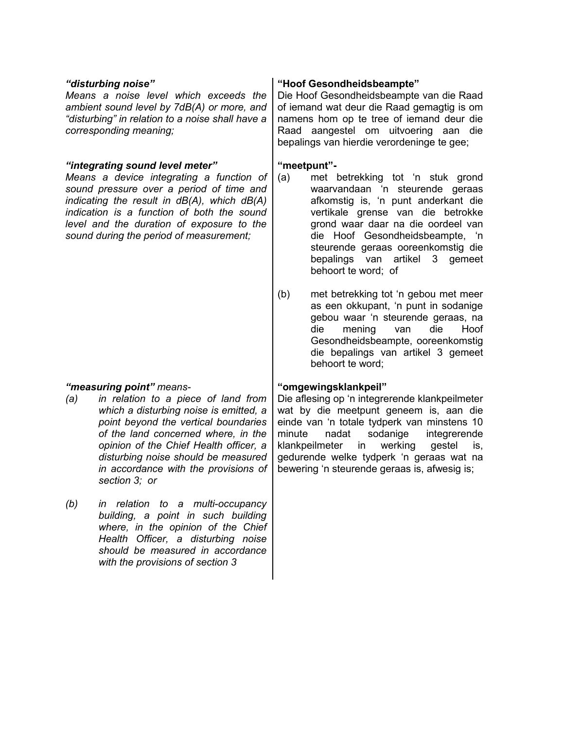*Means a noise level which exceeds the ambient sound level by 7dB(A) or more, and "disturbing" in relation to a noise shall have a corresponding meaning;*

### *"integrating sound level meter"* **"meetpunt"-**

*Means a device integrating a function of sound pressure over a period of time and indicating the result in dB(A), which dB(A) indication is a function of both the sound level and the duration of exposure to the sound during the period of measurement;*

### *"measuring point" means-* **"omgewingsklankpeil"**

- *(a) in relation to a piece of land from which a disturbing noise is emitted, a point beyond the vertical boundaries of the land concerned where, in the opinion of the Chief Health officer, a disturbing noise should be measured in accordance with the provisions of section 3; or*
- *(b) in relation to a multi-occupancy building, a point in such building where, in the opinion of the Chief Health Officer, a disturbing noise should be measured in accordance with the provisions of section 3*

### *"disturbing noise"* **"Hoof Gesondheidsbeampte"**

Die Hoof Gesondheidsbeampte van die Raad of iemand wat deur die Raad gemagtig is om namens hom op te tree of iemand deur die Raad aangestel om uitvoering aan die bepalings van hierdie verordeninge te gee;

- (a) met betrekking tot 'n stuk grond waarvandaan 'n steurende geraas afkomstig is, 'n punt anderkant die vertikale grense van die betrokke grond waar daar na die oordeel van die Hoof Gesondheidsbeampte, 'n steurende geraas ooreenkomstig die bepalings van artikel 3 gemeet behoort te word; of
- (b) met betrekking tot 'n gebou met meer as een okkupant, 'n punt in sodanige gebou waar 'n steurende geraas, na die mening van die Hoof Gesondheidsbeampte, ooreenkomstig die bepalings van artikel 3 gemeet behoort te word;

Die aflesing op 'n integrerende klankpeilmeter wat by die meetpunt geneem is, aan die einde van 'n totale tydperk van minstens 10 minute nadat sodanige integrerende klankpeilmeter in werking gestel is, gedurende welke tydperk 'n geraas wat na bewering 'n steurende geraas is, afwesig is;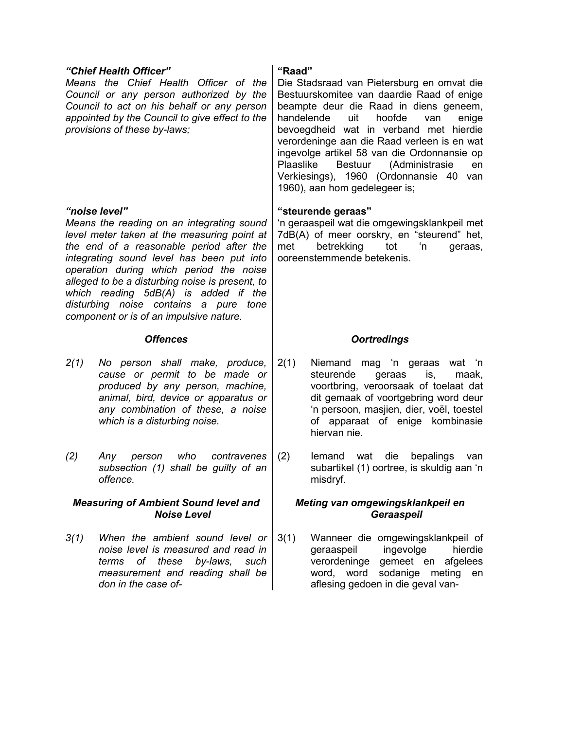|                                                                   | "Chief Health Officer"<br>Means the Chief Health Officer of the<br>Council or any person authorized by the<br>Council to act on his behalf or any person<br>appointed by the Council to give effect to the<br>provisions of these by-laws;                                                                                                                                                                                   | "Raad"<br>Die Stadsraad van Pietersburg en omvat die<br>Bestuurskomitee van daardie Raad of enige<br>beampte deur die Raad in diens geneem,<br>handelende<br>uit<br>hoofde<br>van<br>enige<br>bevoegdheid wat in verband met hierdie<br>verordeninge aan die Raad verleen is en wat<br>ingevolge artikel 58 van die Ordonnansie op<br>Plaaslike<br>Bestuur (Administrasie<br>en<br>Verkiesings), 1960 (Ordonnansie 40 van<br>1960), aan hom gedelegeer is; |  |  |
|-------------------------------------------------------------------|------------------------------------------------------------------------------------------------------------------------------------------------------------------------------------------------------------------------------------------------------------------------------------------------------------------------------------------------------------------------------------------------------------------------------|------------------------------------------------------------------------------------------------------------------------------------------------------------------------------------------------------------------------------------------------------------------------------------------------------------------------------------------------------------------------------------------------------------------------------------------------------------|--|--|
|                                                                   | "noise level"<br>Means the reading on an integrating sound<br>level meter taken at the measuring point at<br>the end of a reasonable period after the<br>integrating sound level has been put into<br>operation during which period the noise<br>alleged to be a disturbing noise is present, to<br>which reading 5dB(A) is added if the<br>disturbing noise contains a pure tone<br>component or is of an impulsive nature. | "steurende geraas"<br>'n geraaspeil wat die omgewingsklankpeil met<br>7dB(A) of meer oorskry, en "steurend" het,<br>met<br>betrekking<br>tot<br>'n<br>geraas,<br>ooreenstemmende betekenis.                                                                                                                                                                                                                                                                |  |  |
|                                                                   | <b>Offences</b>                                                                                                                                                                                                                                                                                                                                                                                                              | <b>Oortredings</b>                                                                                                                                                                                                                                                                                                                                                                                                                                         |  |  |
| 2(1)                                                              | No person shall make, produce,<br>cause or permit to be made or<br>produced by any person, machine,<br>animal, bird, device or apparatus or<br>any combination of these, a noise<br>which is a disturbing noise.                                                                                                                                                                                                             | 2(1)<br>Niemand mag 'n geraas wat 'n<br>steurende<br>is,<br>geraas<br>maak,<br>voortbring, veroorsaak of toelaat dat<br>dit gemaak of voortgebring word deur<br>'n persoon, masjien, dier, voël, toestel<br>of apparaat of enige kombinasie<br>hiervan nie.                                                                                                                                                                                                |  |  |
| (2)                                                               | who<br>contravenes<br>Any<br>person<br>subsection (1) shall be guilty of an<br>offence.                                                                                                                                                                                                                                                                                                                                      | die<br>bepalings<br>(2)<br>lemand<br>wat<br>van<br>subartikel (1) oortree, is skuldig aan 'n<br>misdryf.                                                                                                                                                                                                                                                                                                                                                   |  |  |
| <b>Measuring of Ambient Sound level and</b><br><b>Noise Level</b> |                                                                                                                                                                                                                                                                                                                                                                                                                              | Meting van omgewingsklankpeil en<br>Geraaspeil                                                                                                                                                                                                                                                                                                                                                                                                             |  |  |
| 3(1)                                                              | When the ambient sound level or<br>noise level is measured and read in                                                                                                                                                                                                                                                                                                                                                       | 3(1)<br>Wanneer die omgewingsklankpeil of<br>hierdie<br>geraaspeil<br>ingevolge<br>verordeninge                                                                                                                                                                                                                                                                                                                                                            |  |  |

word, word sodanige meting en aflesing gedoen in die geval van-

*measurement and reading shall be*

*don in the case of-*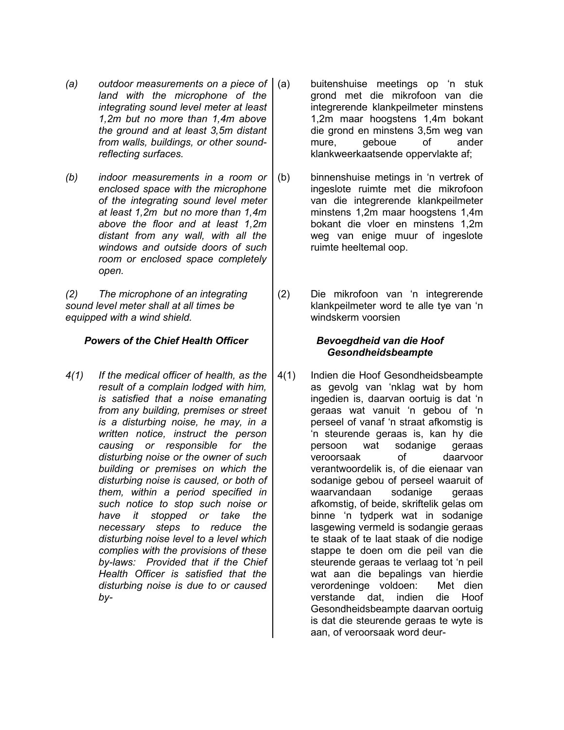- *(a) outdoor measurements on a piece of land with the microphone of the integrating sound level meter at least 1,2m but no more than 1,4m above the ground and at least 3,5m distant from walls, buildings, or other soundreflecting surfaces.*
- *(b) indoor measurements in a room or enclosed space with the microphone of the integrating sound level meter at least 1,2m but no more than 1,4m above the floor and at least 1,2m distant from any wall, with all the windows and outside doors of such room or enclosed space completely open.*

*(2) The microphone of an integrating sound level meter shall at all times be equipped with a wind shield.*

### *Powers of the Chief Health Officer Bevoegdheid van die Hoof*

*4(1) If the medical officer of health, as the result of a complain lodged with him, is satisfied that a noise emanating from any building, premises or street is a disturbing noise, he may, in a written notice, instruct the person causing or responsible for the disturbing noise or the owner of such building or premises on which the disturbing noise is caused, or both of them, within a period specified in such notice to stop such noise or have it stopped or take the necessary steps to reduce the disturbing noise level to a level which complies with the provisions of these by-laws: Provided that if the Chief Health Officer is satisfied that the disturbing noise is due to or caused by-*

- (a) buitenshuise meetings op 'n stuk grond met die mikrofoon van die integrerende klankpeilmeter minstens 1,2m maar hoogstens 1,4m bokant die grond en minstens 3,5m weg van mure, geboue of ander klankweerkaatsende oppervlakte af;
- (b) binnenshuise metings in 'n vertrek of ingeslote ruimte met die mikrofoon van die integrerende klankpeilmeter minstens 1,2m maar hoogstens 1,4m bokant die vloer en minstens 1,2m weg van enige muur of ingeslote ruimte heeltemal oop.
- (2) Die mikrofoon van 'n integrerende klankpeilmeter word te alle tye van 'n windskerm voorsien

# *Gesondheidsbeampte*

4(1) Indien die Hoof Gesondheidsbeampte as gevolg van 'nklag wat by hom ingedien is, daarvan oortuig is dat 'n geraas wat vanuit 'n gebou of 'n perseel of vanaf 'n straat afkomstig is 'n steurende geraas is, kan hy die persoon wat sodanige geraas veroorsaak of daarvoor verantwoordelik is, of die eienaar van sodanige gebou of perseel waaruit of waarvandaan sodanige geraas afkomstig, of beide, skriftelik gelas om binne 'n tydperk wat in sodanige lasgewing vermeld is sodangie geraas te staak of te laat staak of die nodige stappe te doen om die peil van die steurende geraas te verlaag tot 'n peil wat aan die bepalings van hierdie verordeninge voldoen: Met dien verstande dat, indien die Hoof Gesondheidsbeampte daarvan oortuig is dat die steurende geraas te wyte is aan, of veroorsaak word deur-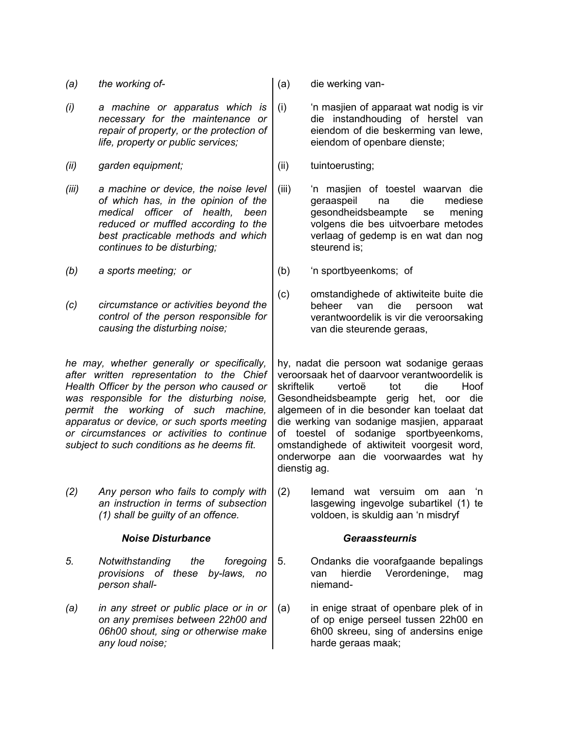|  | (a) | the working of- | $\vert$ (a) |  |
|--|-----|-----------------|-------------|--|
|--|-----|-----------------|-------------|--|

*(i) a machine or apparatus which is necessary for the maintenance or repair of property, or the protection of life, property or public services;*

*(ii) garden equipment;* (ii) tuintoerusting;

*(iii) a machine or device, the noise level of which has, in the opinion of the medical officer of health, been reduced or muffled according to the best practicable methods and which continues to be disturbing;*

*(b) a sports meeting; or* (b) 'n sportbyeenkoms; of

*(c) circumstance or activities beyond the control of the person responsible for causing the disturbing noise;*

*he may, whether generally or specifically, after written representation to the Chief Health Officer by the person who caused or was responsible for the disturbing noise, permit the working of such machine, apparatus or device, or such sports meeting or circumstances or activities to continue subject to such conditions as he deems fit.*

*(2) Any person who fails to comply with an instruction in terms of subsection (1) shall be guilty of an offence.*

### *Noise Disturbance Geraassteurnis*

- *5. Notwithstanding the foregoing provisions of these by-laws, no person shall-*
- *(a) in any street or public place or in or on any premises between 22h00 and 06h00 shout, sing or otherwise make any loud noise;*

*(a) the working of-* (a) die werking van-

(i) 'n masjien of apparaat wat nodig is vir die instandhouding of herstel van eiendom of die beskerming van lewe, eiendom of openbare dienste;

- (iii) 'n masjien of toestel waarvan die geraaspeil na die mediese gesondheidsbeampte se mening volgens die bes uitvoerbare metodes verlaag of gedemp is en wat dan nog steurend is;
	-
- (c) omstandighede of aktiwiteite buite die beheer van die persoon wat verantwoordelik is vir die veroorsaking van die steurende geraas,

hy, nadat die persoon wat sodanige geraas veroorsaak het of daarvoor verantwoordelik is skriftelik vertoë tot die Hoof Gesondheidsbeampte gerig het, oor die algemeen of in die besonder kan toelaat dat die werking van sodanige masjien, apparaat of toestel of sodanige sportbyeenkoms, omstandighede of aktiwiteit voorgesit word, onderworpe aan die voorwaardes wat hy dienstig ag.

(2) Iemand wat versuim om aan 'n lasgewing ingevolge subartikel (1) te voldoen, is skuldig aan 'n misdryf

- 5. Ondanks die voorafgaande bepalings van hierdie Verordeninge, mag niemand-
- (a) in enige straat of openbare plek of in of op enige perseel tussen 22h00 en 6h00 skreeu, sing of andersins enige harde geraas maak;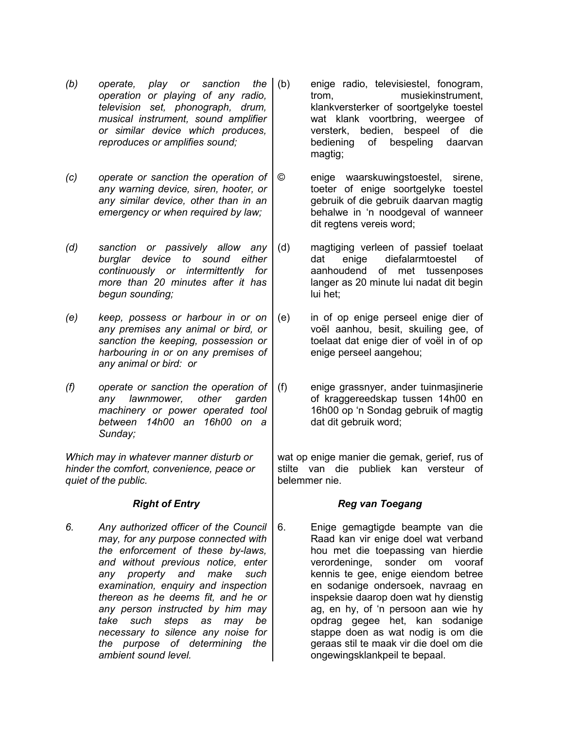- *(b) operate, play or sanction the operation or playing of any radio, television set, phonograph, drum, musical instrument, sound amplifier or similar device which produces, reproduces or amplifies sound;*
- *(c) operate or sanction the operation of any warning device, siren, hooter, or any similar device, other than in an emergency or when required by law;*

*(d) sanction or passively allow any burglar device to sound either continuously or intermittently for more than 20 minutes after it has begun sounding;*

*(e) keep, possess or harbour in or on any premises any animal or bird, or sanction the keeping, possession or harbouring in or on any premises of any animal or bird: or*

*(f) operate or sanction the operation of any lawnmower, other garden machinery or power operated tool between 14h00 an 16h00 on a Sunday;*

*Which may in whatever manner disturb or hinder the comfort, convenience, peace or quiet of the public.*

*6. Any authorized officer of the Council may, for any purpose connected with the enforcement of these by-laws, and without previous notice, enter any property and make such examination, enquiry and inspection thereon as he deems fit, and he or any person instructed by him may take such steps as may be necessary to silence any noise for the purpose of determining the ambient sound level.*

- (b) enige radio, televisiestel, fonogram, trom, musiekinstrument, klankversterker of soortgelyke toestel wat klank voortbring, weergee of versterk, bedien, bespeel of die bediening of bespeling daarvan magtig;
- © enige waarskuwingstoestel, sirene, toeter of enige soortgelyke toestel gebruik of die gebruik daarvan magtig behalwe in 'n noodgeval of wanneer dit regtens vereis word;
- (d) magtiging verleen of passief toelaat dat enige diefalarmtoestel of aanhoudend of met tussenposes langer as 20 minute lui nadat dit begin lui het;
- (e) in of op enige perseel enige dier of voël aanhou, besit, skuiling gee, of toelaat dat enige dier of voël in of op enige perseel aangehou;
- (f) enige grassnyer, ander tuinmasjinerie of kraggereedskap tussen 14h00 en 16h00 op 'n Sondag gebruik of magtig dat dit gebruik word;

wat op enige manier die gemak, gerief, rus of stilte van die publiek kan versteur of belemmer nie.

## *Right of Entry Reg van Toegang*

6. Enige gemagtigde beampte van die Raad kan vir enige doel wat verband hou met die toepassing van hierdie verordeninge, sonder om vooraf kennis te gee, enige eiendom betree en sodanige ondersoek, navraag en inspeksie daarop doen wat hy dienstig ag, en hy, of 'n persoon aan wie hy opdrag gegee het, kan sodanige stappe doen as wat nodig is om die geraas stil te maak vir die doel om die ongewingsklankpeil te bepaal.